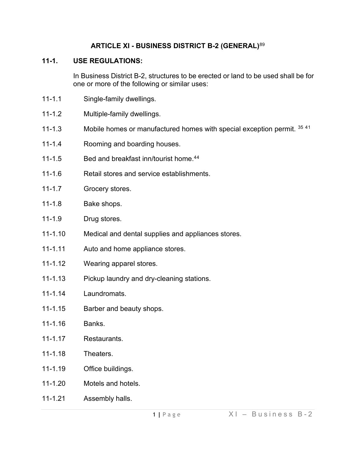### **ARTICLE XI - BUSINESS DISTRICT B-2 (GENERAL)**[89](#page-6-0)

#### **11-1. USE REGULATIONS:**

In Business District B-2, structures to be erected or land to be used shall be for one or more of the following or similar uses:

- 11-1.1 Single-family dwellings.
- 11-1.2 Multiple-family dwellings.
- 11-1.3 Mobile homes or manufactured homes with special exception permit. [35](#page-6-1) 4[1](#page-6-2)
- 11-1.4 Rooming and boarding houses.
- 11-1.5 Bed and breakfast inn/tourist home.[44](#page-6-3)
- 11-1.6 Retail stores and service establishments.
- 11-1.7 Grocery stores.
- 11-1.8 Bake shops.
- 11-1.9 Drug stores.
- 11-1.10 Medical and dental supplies and appliances stores.
- 11-1.11 Auto and home appliance stores.
- 11-1.12 Wearing apparel stores.
- 11-1.13 Pickup laundry and dry-cleaning stations.
- 11-1.14 Laundromats.
- 11-1.15 Barber and beauty shops.
- 11-1.16 Banks.
- 11-1.17 Restaurants.
- 11-1.18 Theaters.
- 11-1.19 Office buildings.
- 11-1.20 Motels and hotels.
- 11-1.21 Assembly halls.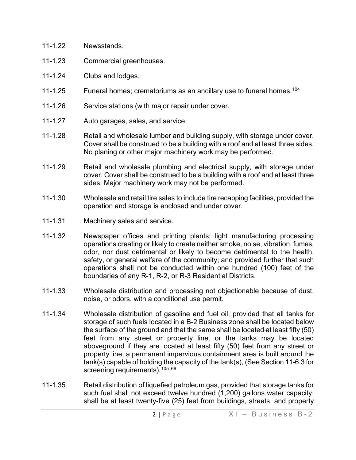- 11-1.22 Newsstands.
- 11-1.23 Commercial greenhouses.
- 11-1.24 Clubs and lodges.
- 11-1.25 Funeral homes; crematoriums as an ancillary use to funeral homes.<sup>[104](#page-6-4)</sup>
- 11-1.26 Service stations (with major repair under cover.
- 11-1.27 Auto garages, sales, and service.
- 11-1.28 Retail and wholesale lumber and building supply, with storage under cover. Cover shall be construed to be a building with a roof and at least three sides. No planing or other major machinery work may be performed.
- 11-1.29 Retail and wholesale plumbing and electrical supply, with storage under cover. Cover shall be construed to be a building with a roof and at least three sides. Major machinery work may not be performed.
- 11-1.30 Wholesale and retail tire sales to include tire recapping facilities, provided the operation and storage is enclosed and under cover.
- 11-1.31 Machinery sales and service.
- 11-1.32 Newspaper offices and printing plants; light manufacturing processing operations creating or likely to create neither smoke, noise, vibration, fumes, odor, nor dust detrimental or likely to become detrimental to the health, safety, or general welfare of the community; and provided further that such operations shall not be conducted within one hundred (100) feet of the boundaries of any R-1, R-2, or R-3 Residential Districts.
- 11-1.33 Wholesale distribution and processing not objectionable because of dust, noise, or odors, with a conditional use permit.
- 11-1.34 Wholesale distribution of gasoline and fuel oil, provided that all tanks for storage of such fuels located in a B-2 Business zone shall be located below the surface of the ground and that the same shall be located at least fifty (50) feet from any street or property line*,* or the tanks may be located aboveground if they are located at least fifty (50) feet from any street or property line, a permanent impervious containment area is built around the tank(s) capable of holding the capacity of the tank(s), (See Section 11-6.3 for screening requirements).<sup>[105](#page-6-5) [66](#page-6-6)</sup>
- 11-1.35 Retail distribution of liquefied petroleum gas, provided that storage tanks for such fuel shall not exceed twelve hundred (1,200) gallons water capacity; shall be at least twenty-five (25) feet from buildings, streets, and property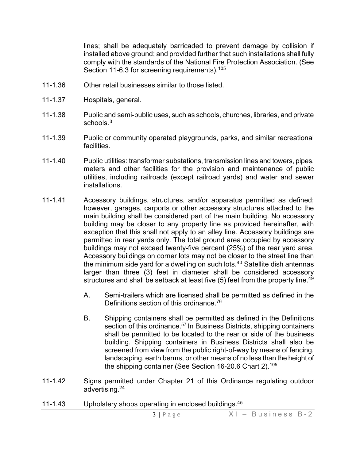lines; shall be adequately barricaded to prevent damage by collision if installed above ground; and provided further that such installations shall fully comply with the standards of the National Fire Protection Association. (See Section 11-6.3 for screening requirements).<sup>[105](#page-6-7)</sup>

- 11-1.36 Other retail businesses similar to those listed.
- 11-1.37 Hospitals, general.
- 11-1.38 Public and semi-public uses, such as schools, churches, libraries, and private schools.<sup>[3](#page-6-8)</sup>
- 11-1.39 Public or community operated playgrounds, parks, and similar recreational facilities.
- 11-1.40 Public utilities: transformer substations, transmission lines and towers, pipes, meters and other facilities for the provision and maintenance of public utilities, including railroads (except railroad yards) and water and sewer installations.
- 11-1.41 Accessory buildings, structures, and/or apparatus permitted as defined; however, garages, carports or other accessory structures attached to the main building shall be considered part of the main building. No accessory building may be closer to any property line as provided hereinafter, with exception that this shall not apply to an alley line. Accessory buildings are permitted in rear yards only. The total ground area occupied by accessory buildings may not exceed twenty-five percent (25%) of the rear yard area. Accessory buildings on corner lots may not be closer to the street line than the minimum side yard for a dwelling on such lots.4[0](#page-6-9) Satellite dish antennas larger than three (3) feet in diameter shall be considered accessory structures and shall be setback at least five (5) feet from the property line.<sup>[49](#page-6-10)</sup>
	- A. Semi-trailers which are licensed shall be permitted as defined in the Definitions section of this ordinance.<sup>[76](#page-6-11)</sup>
	- B. Shipping containers shall be permitted as defined in the Definitions section of this ordinance.<sup>57</sup> In Business Districts, shipping containers shall be permitted to be located to the rear or side of the business building. Shipping containers in Business Districts shall also be screened from view from the public right-of-way by means of fencing, landscaping, earth berms, or other means of no less than the height of the shipping container (See Section 16-20.6 Chart 2).[105](#page-6-12)
- 11-1.42 Signs permitted under Chapter 21 of this Ordinance regulating outdoor advertising.2[4](#page-6-13)
- 11-1.43 Upholstery shops operating in enclosed buildings.4[5](#page-6-14)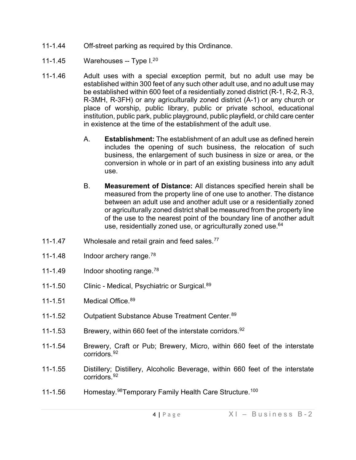- 11-1.44 Off-street parking as required by this Ordinance.
- 11-1.45 Warehouses -- Type I.<sup>2[0](#page-6-15)</sup>
- 11-1.46 Adult uses with a special exception permit, but no adult use may be established within 300 feet of any such other adult use, and no adult use may be established within 600 feet of a residentially zoned district (R-1, R-2, R-3, R-3MH, R-3FH) or any agriculturally zoned district (A-1) or any church or place of worship, public library, public or private school, educational institution, public park, public playground, public playfield, or child care center in existence at the time of the establishment of the adult use.
	- A. **Establishment:** The establishment of an adult use as defined herein includes the opening of such business, the relocation of such business, the enlargement of such business in size or area, or the conversion in whole or in part of an existing business into any adult use.
	- B. **Measurement of Distance:** All distances specified herein shall be measured from the property line of one use to another. The distance between an adult use and another adult use or a residentially zoned or agriculturally zoned district shall be measured from the property line of the use to the nearest point of the boundary line of another adult use, residentially zoned use, or agriculturally zoned use.<sup>64</sup>
- 11-1.47 Wholesale and retail grain and feed sales.<sup>[77](#page-6-16)</sup>
- 11-1.48 Indoor archery range.<sup>[78](#page-6-17)</sup>
- 11-1.49 Indoor shooting range.<sup>[78](#page-6-18)</sup>
- 11-1.50 Clinic Medical, Psychiatric or Surgical. [89](#page-6-19)
- 11-1.51 Medical Office. [89](#page-6-20)
- 11-1.52 Outpatient Substance Abuse Treatment Center. [89](#page-6-21)
- 11-1.53 Brewery, within 660 feet of the interstate corridors.<sup>[92](#page-6-22)</sup>
- 11-1.54 Brewery, Craft or Pub; Brewery, Micro, within 660 feet of the interstate corridors. [92](#page-6-23)
- 11-1.55 Distillery; Distillery, Alcoholic Beverage, within 660 feet of the interstate corridors. [92](#page-6-24)
- 11-1.56 Homestay.<sup>98</sup>Temporary Family Health Care Structure.<sup>[100](#page-6-26)</sup>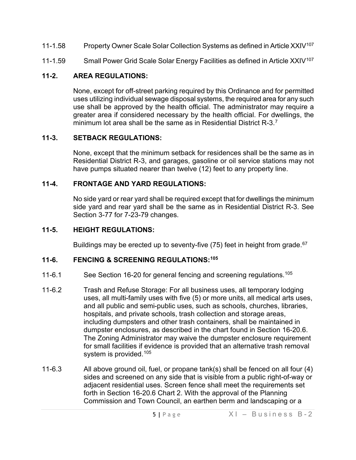- 11-1.58 Property Owner Scale Solar Collection Systems as defined in Article XXIV<sup>[107](#page-6-27)</sup>
- 11-1.59 Small Power Grid Scale Solar Energy Facilities as defined in Article XXIV<sup>[107](#page-6-28)</sup>

# **11-2. AREA REGULATIONS:**

None, except for off-street parking required by this Ordinance and for permitted uses utilizing individual sewage disposal systems, the required area for any such use shall be approved by the health official. The administrator may require a greater area if considered necessary by the health official. For dwellings, the minimum lot area shall be the same as in Residential District R-3<sup>[7](#page-6-29)</sup>

### **11-3. SETBACK REGULATIONS:**

None, except that the minimum setback for residences shall be the same as in Residential District R-3, and garages, gasoline or oil service stations may not have pumps situated nearer than twelve (12) feet to any property line.

### **11-4. FRONTAGE AND YARD REGULATIONS:**

No side yard or rear yard shall be required except that for dwellings the minimum side yard and rear yard shall be the same as in Residential District R-3. See Section 3-77 for 7-23-79 changes.

## **11-5. HEIGHT REGULATIONS:**

Buildings may be erected up to seventy-five (75) feet in height from grade.<sup>[67](#page-6-30)</sup>

### **11-6. FENCING & SCREENING REGULATIONS:[105](#page-6-31)**

- 11-6.1 See Section 16-20 for general fencing and screening regulations.<sup>[105](#page-6-32)</sup>
- 11-6.2 Trash and Refuse Storage: For all business uses, all temporary lodging uses, all multi-family uses with five (5) or more units, all medical arts uses, and all public and semi-public uses, such as schools, churches, libraries, hospitals, and private schools, trash collection and storage areas, including dumpsters and other trash containers, shall be maintained in dumpster enclosures, as described in the chart found in Section 16-20.6. The Zoning Administrator may waive the dumpster enclosure requirement for small facilities if evidence is provided that an alternative trash removal system is provided.<sup>[105](#page-6-33)</sup>
- 11-6.3 All above ground oil, fuel, or propane tank(s) shall be fenced on all four (4) sides and screened on any side that is visible from a public right-of-way or adjacent residential uses. Screen fence shall meet the requirements set forth in Section 16-20.6 Chart 2. With the approval of the Planning Commission and Town Council, an earthen berm and landscaping or a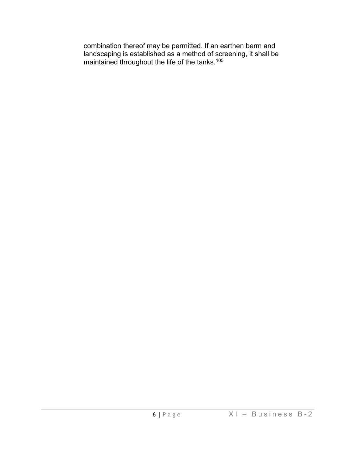combination thereof may be permitted. If an earthen berm and landscaping is established as a method of screening, it shall be maintained throughout the life of the tanks.[105](#page-6-34)